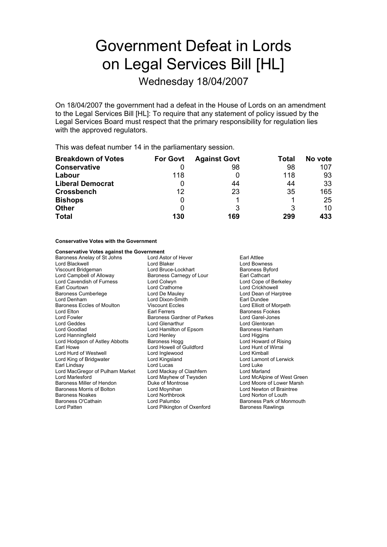# Government Defeat in Lords on Legal Services Bill [HL]

Wednesday 18/04/2007

On 18/04/2007 the government had a defeat in the House of Lords on an amendment to the Legal Services Bill [HL]: To require that any statement of policy issued by the Legal Services Board must respect that the primary responsibility for regulation lies with the approved regulators.

This was defeat number 14 in the parliamentary session.

| <b>Breakdown of Votes</b> | <b>For Govt</b> | <b>Against Govt</b> | Total | No vote |
|---------------------------|-----------------|---------------------|-------|---------|
| <b>Conservative</b>       |                 | 98                  | 98    | 107     |
| Labour                    | 118             |                     | 118   | 93      |
| <b>Liberal Democrat</b>   | 0               | 44                  | 44    | 33      |
| <b>Crossbench</b>         | 12              | 23                  | 35    | 165     |
| <b>Bishops</b>            | 0               |                     |       | 25      |
| <b>Other</b>              | 0               |                     | 3     | 10      |
| <b>Total</b>              | 130             | 169                 | 299   | 433     |

#### **Conservative Votes with the Government**

## **Conservative Votes against the Government**<br> **Baroness Anelay of St Johns Lord Astor of Hever**

Baroness Anelay of St Johns Lord Astor of Hever Farl Attlee Lord Blackwell **Lord Blaker Lord Bowness**<br>
Lord Bowness<br>
Lord Borness Borness Borness<br>
Lord Borness Borness Borness Borness Borness Borness Borness Borness Borness Borness Borness Borness Borness Borness Borness Borness Bo Viscount Bridgeman **Lord Bruce-Lockhart** Baroness Byford Campbell of Alloway **Baroness Camegy of Lour** Earl Cathcart Lord Cavendish of Furness Lord Colwyn Lord Cope of Berkeley Earl Courtown Lord Crathorne Lord Crickhowell Lord Denham Lord Dixon-Smith Earl Dundee Baroness Eccles of Moulton Viscount Eccles Communication Lord Elliott of Morpeth<br>
Lord Elton Carl Ferrers
Lord Elton Baroness Fookes Lord Elton **Elton Executes** Earl Ferrers **Executes** Exercise Secrets Baroness Fookes<br>Lord Fowler **Baroness Gardner of Parkes** Electric Lord Garel-Jones Lord Geddes Lord Glenarthur Lord Goodlad **Lord Hamilton of Epsom** Baroness Hanham<br>
Lord Hanningfield **Lord Henley** Lord Henley **Baroness** Hanham Lord Hanningfield **Lord Henley** Lord Henley **Lord Higgins**<br>
Lord Hodgson of Astley Abbotts Baroness Hogg **Lord Howard of Rising** Lord Hodgson of Astley Abbotts Earl Howe Lord Howell of Guildford Lord Hunt of Wirral Lord Hurd of Westwell **Lord Inglewood** Lord Hurd of Mimball<br>
Lord King of Bridgwater **Lord Kingsland** Lord Cord Lamont Earl Lindsay **Communist Communist Communist Communist Communist Communist Communist Communist Communist Communist Communist Communist Communist Communist Communist Communist Communist Communist Communist Communist Communis** Lord MacGregor of Pulham Market Lord Mackay of Clashfern Lord Marland Lord Marlesford **Lord Mayhew of Twysden** Lord McAlpine of West Green<br>
Baroness Miller of Hendon **Lord McAlpine of Lower Marsh** Lord Moore of Lower Marsh Baroness Morris of Bolton Lord Moynihan Lord Newton of Braintree Baroness Noakes **Lord Northbrook** Lord Norton of Louth<br>Baroness O'Cathain **Communist Lord Palumbo Communist Communist Communist Communist Communist Communist Communist** Lord Patten Lord Pilkington of Oxenford Baroness Rawlings

Baroness Carnegy of Lour<br>Lord Colwyn Baroness Gardner of Parkes Lord Garel-Jone<br>
Lord Glenarthur Lord Glentoran

Lord Dean of Harptree Lord Lamont of Lerwick Lord Moore of Lower Marsh Baroness Park of Monmouth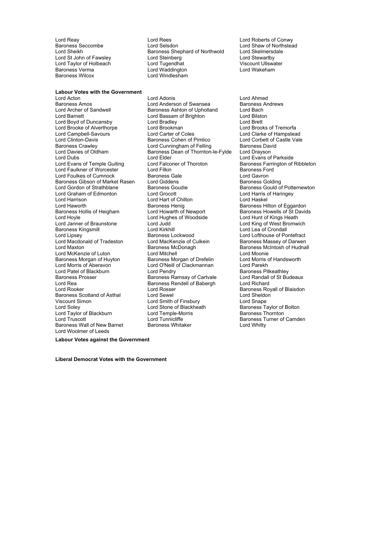Baroness Verma Lord Waddington Lord Waddington Baroness Wilcox

Baroness Seccombe **Lord Selsdon** Lord Selsdon **Lord Shaw of Northstead**<br>
Lord Sheikh **Baroness Shephard of Northwold** Lord Skelmersdale Baroness Shephard of Northwold Lord St John of Fawsley Lord Steinberg Lord Stevartby<br>
Lord Taylor of Holbeach Lord Tugendhat Cliswater Custom Ullswater Lord Taylor of Holbeach and Lord Tugendhat and Viscount Ullswater of Holbeach Lord Viscount Ullswater<br>
Lord Water Lord Water Lord Lord Water Lord Water Lord Water Lord Water Lord Water Lord Water Lord Water Lord M Lord Windlesham

**Labour Votes with the Government** Lord Acton **Lord Adonis**<br>
Lord Andrews **Connect Adonis**<br>
Lord Anderson of Swansea<br>
Baroness Andrews Baroness Amos **Communist Communist Communist Communist Communist Communist Communist Communist Communist Communist Communist Communist Communist Communist Communist Communist Communist Communist Communist Communist Communi** Lord Barnett Lord Bassam of Brighton Lord Bilston Lord Bilston Lord Bilston Lord Bilston Lord Brett Lord Brett Lord Boyd of Duncansby Lord Bradley Lord Brett Lord Brooke of Alverthorpe Lord Brookman Lord Brooks of Tremorfa Lord Campbell-Savours<br>Lord Clinton-Davis Lord Clinton-Davis Baroness Cohen of Pimlico Lord Corbett of Castle Vale Baroness Crawley **Lord Cunningham of Felling** Baroness David Davies of Oldham Baroness David Baroness Dean of Thornton-le-Fylde Lord Drayson Lord Dubs<br>
Lord Evans of Temple Guiting Lord Elder Lord Enterprise Lord Evans of Parkside<br>
Lord Evans of Temple Guiting Lord Falconer of Thoroton Baroness Farrington of Lord Faulkner of Worcester (State Lord Filkin Baroness Ford Filkin Baroness Ford Ford Ford Gavron<br>Lord Foulkes of Cumnock (Baroness Gale Lord Foulkes of Cumnock **Baroness Gale** Lord Gavron<br>
Baroness Gibson of Market Rasen Lord Giddens **Baroness Golding**<br>
Baroness Golding Baroness Gibson of Market Rasen Lord Giddens<br>Lord Gordon of Strathblane Baroness Goudie Lord Graham of Edmonton Lord Grocott Lord Grocott Lord Harris of Chilton Lord Harris of Lord Haskel Lord Haworth **Baroness Henig** Baroness Henig Baroness Hilton of Eggardon<br>Baroness Hollis of Heigham **Baroness Howells of St David** Baroness Hollis of Heigham Lord Howarth of Newport Baroness Howells of St Davids<br>
Lord Howarth of Woodside Lord Hunt of Kings Heath<br>
Lord Howarth of Woodside Lord Hunt of Kings Heath Lord Hoyle Lord Hughes of Woodside<br>
Lord Janner of Braunstone Lord Judd Baroness Kingsmill **Example 2** Lord Kirkhill Lord Lord Lea of Crondall<br>
Lord Lipsey **Condall** Baroness Lockwood Lord Lord Lofthouse of Po Lord Lipsey (Exercise Saroness Lockwood Cultein Muslim Lord Lofthouse of Pontefract<br>Lord Macdonald of Tradeston (Electro Lord MacKenzie of Culkein (Exercises Massey of Darwen Lord Maxton **Baroness McDonagh** Baroness McDonagh Baroness McIntosh of Hudnall<br>
Lord McKenzie of Luton **Baroness McDonagh** Baroness McDonie Lord McKenzie of Luton **Lord Mitchell** Lord Mitchell Lord Moonie<br>Baroness Morgan of Huvton Baroness Morgan of Drefelin Lord Morris of Handsworth Baroness Morgan of Huyton Baroness Morgan of Drefelin Lord Morris Cord Morris Cord Parekh<br>
Lord Morris of Aberavon Lord O'Neill of Clackmannan Lord Parekh Lord Patel of Blackburn Lord Pendry<br>
Baroness Prosser Baroness Ramsay of Cartvale Lord Randall of St Budeaux Baroness Prosser **Baroness Ramsay of Cartvale** Lord Randall Lord Randall Lord Rea<br>
Lord Rea Lord Richard **Baroness Rendell of Babergh** Lord Richard Lord Rea Baroness Rendell of Babergh Lord Roader Lord Roader Lord Roader Lord Roader Lord Roader Lord Roader L<br>Lord Roader Lord Rosser Baroness Scotland of Asthal Lord Sewel Lord Sheldoness Scotland of Asthal Lord Sheldoness Scotland Lord Sheldo<br>
Viscount Simon Lord Smape Lord Smape Lord Sheldoness Scotland of Asthal Lord Smape Viscount Simon Lord Smith of Finsbury<br>
Lord Soley Lord Stone of Blackheath Lord Taylor of Blackburn and Lord Temple-Morris and Baroness Thornton Cord Temple-Morris Cord Tunnicliffe Cord<br>Cord Truscott Lord Tunnicliffe and Baroness Turner of <u>Baroness Wall of New Barnet</u> Lord Woolmer of Leeds

Baroness Ashton of Upholland Lord Bach<br>Lord Bassam of Brighton Lord Bilston Baroness Dean of Thornton-le-Fylde<br>Lord Elder Lord Falconer of Thoroton Baroness Farrington of Ribbleton<br>
Lord Filkin Baroness Ford Baroness Goudie **Baroness Gould of Potternewton**<br>
Lord Grocott **Contract Contract Contract Contract Contract Contract Contract Contract Contract Contract Contract Contract Contract Contract Contract Contract Contract Contr** Lord Hart of Chilton<br>Baroness Henig Lord O'Neill of Clackmannan Lord Rosser **Baroness Royall of Blaisdon**<br>
Lord Sewel **Baroness Royall of Blaisdon** Lord Tunnicliffe **Baroness Turner of Camden**<br>
Baroness Whitaker<br> **Baroness Whitaker Baroness Tord Whitty** 

Lord Reay **Lord Reagan Confluence Confluence** Lord Roberts of Conwy<br>
Lord Roberts of Conwy<br>
Lord Shaw of Northstea

Lord King of West Bromwich Baroness Massey of Darwen Baroness Taylor of Bolton

**Labour Votes against the Government**

**Liberal Democrat Votes with the Government**